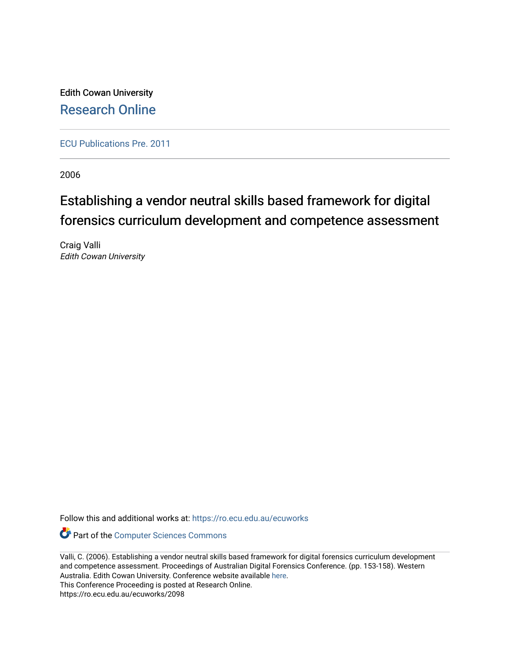Edith Cowan University [Research Online](https://ro.ecu.edu.au/) 

[ECU Publications Pre. 2011](https://ro.ecu.edu.au/ecuworks)

2006

# Establishing a vendor neutral skills based framework for digital forensics curriculum development and competence assessment

Craig Valli Edith Cowan University

Follow this and additional works at: [https://ro.ecu.edu.au/ecuworks](https://ro.ecu.edu.au/ecuworks?utm_source=ro.ecu.edu.au%2Fecuworks%2F2098&utm_medium=PDF&utm_campaign=PDFCoverPages) 

Part of the [Computer Sciences Commons](http://network.bepress.com/hgg/discipline/142?utm_source=ro.ecu.edu.au%2Fecuworks%2F2098&utm_medium=PDF&utm_campaign=PDFCoverPages)

Valli, C. (2006). Establishing a vendor neutral skills based framework for digital forensics curriculum development and competence assessment. Proceedings of Australian Digital Forensics Conference. (pp. 153-158). Western Australia. Edith Cowan University. Conference website available [here.](http://ro.ecu.edu.au/adf/) This Conference Proceeding is posted at Research Online.

https://ro.ecu.edu.au/ecuworks/2098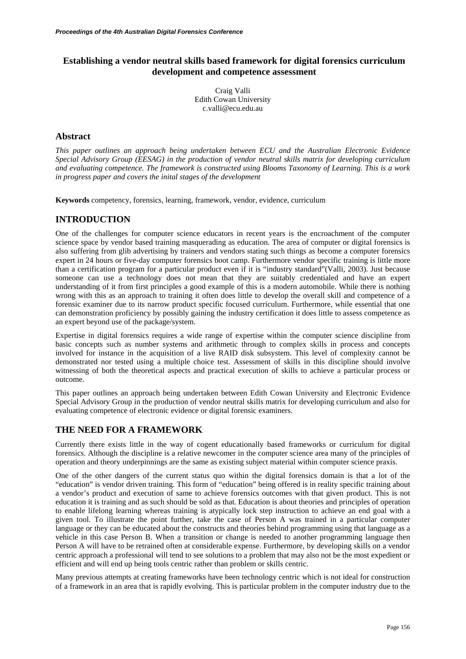# **Establishing a vendor neutral skills based framework for digital forensics curriculum development and competence assessment**

Craig Valli Edith Cowan University c.valli@ecu.edu.au

## **Abstract**

*This paper outlines an approach being undertaken between ECU and the Australian Electronic Evidence Special Advisory Group (EESAG) in the production of vendor neutral skills matrix for developing curriculum and evaluating competence. The framework is constructed using Blooms Taxonomy of Learning. This is a work in progress paper and covers the inital stages of the development* 

**Keywords** competency, forensics, learning, framework, vendor, evidence, curriculum

## **INTRODUCTION**

One of the challenges for computer science educators in recent years is the encroachment of the computer science space by vendor based training masquerading as education. The area of computer or digital forensics is also suffering from glib advertising by trainers and vendors stating such things as become a computer forensics expert in 24 hours or five-day computer forensics boot camp. Furthermore vendor specific training is little more than a certification program for a particular product even if it is "industry standard"(Valli, 2003). Just because someone can use a technology does not mean that they are suitably credentialed and have an expert understanding of it from first principles a good example of this is a modern automobile. While there is nothing wrong with this as an approach to training it often does little to develop the overall skill and competence of a forensic examiner due to its narrow product specific focused curriculum. Furthermore, while essential that one can demonstration proficiency by possibly gaining the industry certification it does little to assess competence as an expert beyond use of the package/system.

Expertise in digital forensics requires a wide range of expertise within the computer science discipline from basic concepts such as number systems and arithmetic through to complex skills in process and concepts involved for instance in the acquisition of a live RAID disk subsystem. This level of complexity cannot be demonstrated nor tested using a multiple choice test. Assessment of skills in this discipline should involve witnessing of both the theoretical aspects and practical execution of skills to achieve a particular process or outcome.

This paper outlines an approach being undertaken between Edith Cowan University and Electronic Evidence Special Advisory Group in the production of vendor neutral skills matrix for developing curriculum and also for evaluating competence of electronic evidence or digital forensic examiners.

# **THE NEED FOR A FRAMEWORK**

Currently there exists little in the way of cogent educationally based frameworks or curriculum for digital forensics. Although the discipline is a relative newcomer in the computer science area many of the principles of operation and theory underpinnings are the same as existing subject material within computer science praxis.

One of the other dangers of the current status quo within the digital forensics domain is that a lot of the "education" is vendor driven training. This form of "education" being offered is in reality specific training about a vendor's product and execution of same to achieve forensics outcomes with that given product. This is not education it is training and as such should be sold as that. Education is about theories and principles of operation to enable lifelong learning whereas training is atypically lock step instruction to achieve an end goal with a given tool. To illustrate the point further, take the case of Person A was trained in a particular computer language or they can be educated about the constructs and theories behind programming using that language as a vehicle in this case Person B. When a transition or change is needed to another programming language then Person A will have to be retrained often at considerable expense. Furthermore, by developing skills on a vendor centric approach a professional will tend to see solutions to a problem that may also not be the most expedient or efficient and will end up being tools centric rather than problem or skills centric.

Many previous attempts at creating frameworks have been technology centric which is not ideal for construction of a framework in an area that is rapidly evolving. This is particular problem in the computer industry due to the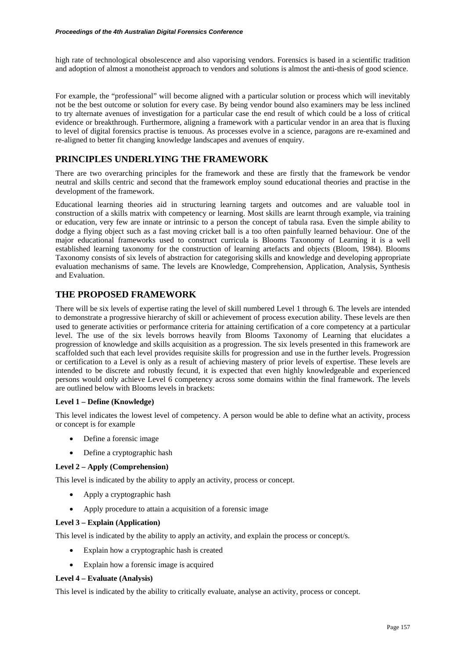high rate of technological obsolescence and also vaporising vendors. Forensics is based in a scientific tradition and adoption of almost a monotheist approach to vendors and solutions is almost the anti-thesis of good science.

For example, the "professional" will become aligned with a particular solution or process which will inevitably not be the best outcome or solution for every case. By being vendor bound also examiners may be less inclined to try alternate avenues of investigation for a particular case the end result of which could be a loss of critical evidence or breakthrough. Furthermore, aligning a framework with a particular vendor in an area that is fluxing to level of digital forensics practise is tenuous. As processes evolve in a science, paragons are re-examined and re-aligned to better fit changing knowledge landscapes and avenues of enquiry.

# **PRINCIPLES UNDERLYING THE FRAMEWORK**

There are two overarching principles for the framework and these are firstly that the framework be vendor neutral and skills centric and second that the framework employ sound educational theories and practise in the development of the framework.

Educational learning theories aid in structuring learning targets and outcomes and are valuable tool in construction of a skills matrix with competency or learning. Most skills are learnt through example, via training or education, very few are innate or intrinsic to a person the concept of tabula rasa. Even the simple ability to dodge a flying object such as a fast moving cricket ball is a too often painfully learned behaviour. One of the major educational frameworks used to construct curricula is Blooms Taxonomy of Learning it is a well established learning taxonomy for the construction of learning artefacts and objects (Bloom, 1984). Blooms Taxonomy consists of six levels of abstraction for categorising skills and knowledge and developing appropriate evaluation mechanisms of same. The levels are Knowledge, Comprehension, Application, Analysis, Synthesis and Evaluation.

## **THE PROPOSED FRAMEWORK**

There will be six levels of expertise rating the level of skill numbered Level 1 through 6. The levels are intended to demonstrate a progressive hierarchy of skill or achievement of process execution ability. These levels are then used to generate activities or performance criteria for attaining certification of a core competency at a particular level. The use of the six levels borrows heavily from Blooms Taxonomy of Learning that elucidates a progression of knowledge and skills acquisition as a progression. The six levels presented in this framework are scaffolded such that each level provides requisite skills for progression and use in the further levels. Progression or certification to a Level is only as a result of achieving mastery of prior levels of expertise. These levels are intended to be discrete and robustly fecund, it is expected that even highly knowledgeable and experienced persons would only achieve Level 6 competency across some domains within the final framework. The levels are outlined below with Blooms levels in brackets:

## **Level 1 – Define (Knowledge)**

This level indicates the lowest level of competency. A person would be able to define what an activity, process or concept is for example

- Define a forensic image
- Define a cryptographic hash

#### **Level 2 – Apply (Comprehension)**

This level is indicated by the ability to apply an activity, process or concept.

- Apply a cryptographic hash
- Apply procedure to attain a acquisition of a forensic image

## **Level 3 – Explain (Application)**

This level is indicated by the ability to apply an activity, and explain the process or concept/s.

- Explain how a cryptographic hash is created
- Explain how a forensic image is acquired

#### **Level 4 – Evaluate (Analysis)**

This level is indicated by the ability to critically evaluate, analyse an activity, process or concept.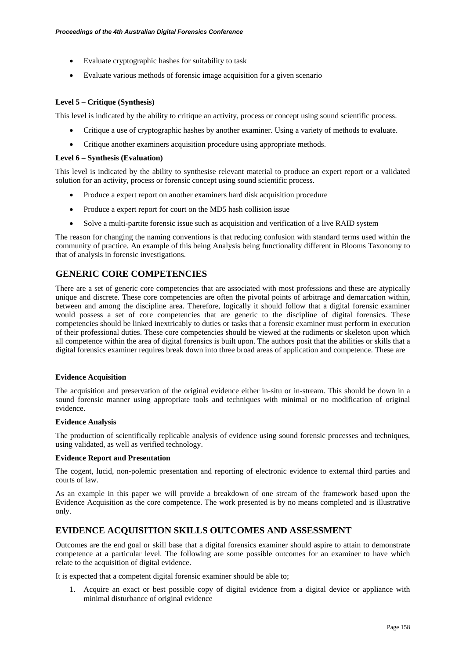- Evaluate cryptographic hashes for suitability to task
- Evaluate various methods of forensic image acquisition for a given scenario

### **Level 5 – Critique (Synthesis)**

This level is indicated by the ability to critique an activity, process or concept using sound scientific process.

- Critique a use of cryptographic hashes by another examiner. Using a variety of methods to evaluate.
- Critique another examiners acquisition procedure using appropriate methods.

#### **Level 6 – Synthesis (Evaluation)**

This level is indicated by the ability to synthesise relevant material to produce an expert report or a validated solution for an activity, process or forensic concept using sound scientific process.

- Produce a expert report on another examiners hard disk acquisition procedure
- Produce a expert report for court on the MD5 hash collision issue
- Solve a multi-partite forensic issue such as acquisition and verification of a live RAID system

The reason for changing the naming conventions is that reducing confusion with standard terms used within the community of practice. An example of this being Analysis being functionality different in Blooms Taxonomy to that of analysis in forensic investigations.

# **GENERIC CORE COMPETENCIES**

There are a set of generic core competencies that are associated with most professions and these are atypically unique and discrete. These core competencies are often the pivotal points of arbitrage and demarcation within, between and among the discipline area. Therefore, logically it should follow that a digital forensic examiner would possess a set of core competencies that are generic to the discipline of digital forensics. These competencies should be linked inextricably to duties or tasks that a forensic examiner must perform in execution of their professional duties. These core competencies should be viewed at the rudiments or skeleton upon which all competence within the area of digital forensics is built upon. The authors posit that the abilities or skills that a digital forensics examiner requires break down into three broad areas of application and competence. These are

#### **Evidence Acquisition**

The acquisition and preservation of the original evidence either in-situ or in-stream. This should be down in a sound forensic manner using appropriate tools and techniques with minimal or no modification of original evidence.

#### **Evidence Analysis**

The production of scientifically replicable analysis of evidence using sound forensic processes and techniques, using validated, as well as verified technology.

#### **Evidence Report and Presentation**

The cogent, lucid, non-polemic presentation and reporting of electronic evidence to external third parties and courts of law.

As an example in this paper we will provide a breakdown of one stream of the framework based upon the Evidence Acquisition as the core competence. The work presented is by no means completed and is illustrative only.

## **EVIDENCE ACQUISITION SKILLS OUTCOMES AND ASSESSMENT**

Outcomes are the end goal or skill base that a digital forensics examiner should aspire to attain to demonstrate competence at a particular level. The following are some possible outcomes for an examiner to have which relate to the acquisition of digital evidence.

It is expected that a competent digital forensic examiner should be able to;

1. Acquire an exact or best possible copy of digital evidence from a digital device or appliance with minimal disturbance of original evidence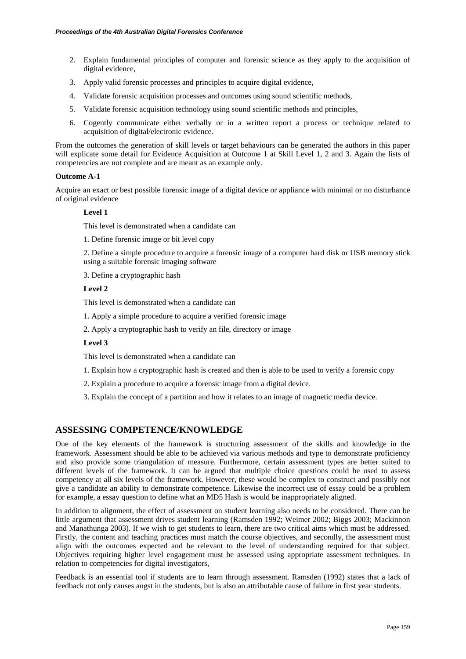- 2. Explain fundamental principles of computer and forensic science as they apply to the acquisition of digital evidence,
- 3. Apply valid forensic processes and principles to acquire digital evidence,
- 4. Validate forensic acquisition processes and outcomes using sound scientific methods,
- 5. Validate forensic acquisition technology using sound scientific methods and principles,
- 6. Cogently communicate either verbally or in a written report a process or technique related to acquisition of digital/electronic evidence.

From the outcomes the generation of skill levels or target behaviours can be generated the authors in this paper will explicate some detail for Evidence Acquisition at Outcome 1 at Skill Level 1, 2 and 3. Again the lists of competencies are not complete and are meant as an example only.

#### **Outcome A-1**

Acquire an exact or best possible forensic image of a digital device or appliance with minimal or no disturbance of original evidence

#### **Level 1**

This level is demonstrated when a candidate can

1. Define forensic image or bit level copy

2. Define a simple procedure to acquire a forensic image of a computer hard disk or USB memory stick using a suitable forensic imaging software

3. Define a cryptographic hash

## **Level 2**

This level is demonstrated when a candidate can

1. Apply a simple procedure to acquire a verified forensic image

2. Apply a cryptographic hash to verify an file, directory or image

## **Level 3**

This level is demonstrated when a candidate can

- 1. Explain how a cryptographic hash is created and then is able to be used to verify a forensic copy
- 2. Explain a procedure to acquire a forensic image from a digital device.
- 3. Explain the concept of a partition and how it relates to an image of magnetic media device.

## **ASSESSING COMPETENCE/KNOWLEDGE**

One of the key elements of the framework is structuring assessment of the skills and knowledge in the framework. Assessment should be able to be achieved via various methods and type to demonstrate proficiency and also provide some triangulation of measure. Furthermore, certain assessment types are better suited to different levels of the framework. It can be argued that multiple choice questions could be used to assess competency at all six levels of the framework. However, these would be complex to construct and possibly not give a candidate an ability to demonstrate competence. Likewise the incorrect use of essay could be a problem for example, a essay question to define what an MD5 Hash is would be inappropriately aligned.

In addition to alignment, the effect of assessment on student learning also needs to be considered. There can be little argument that assessment drives student learning (Ramsden 1992; Weimer 2002; Biggs 2003; Mackinnon and Manathunga 2003). If we wish to get students to learn, there are two critical aims which must be addressed. Firstly, the content and teaching practices must match the course objectives, and secondly, the assessment must align with the outcomes expected and be relevant to the level of understanding required for that subject. Objectives requiring higher level engagement must be assessed using appropriate assessment techniques. In relation to competencies for digital investigators,

Feedback is an essential tool if students are to learn through assessment. Ramsden (1992) states that a lack of feedback not only causes angst in the students, but is also an attributable cause of failure in first year students.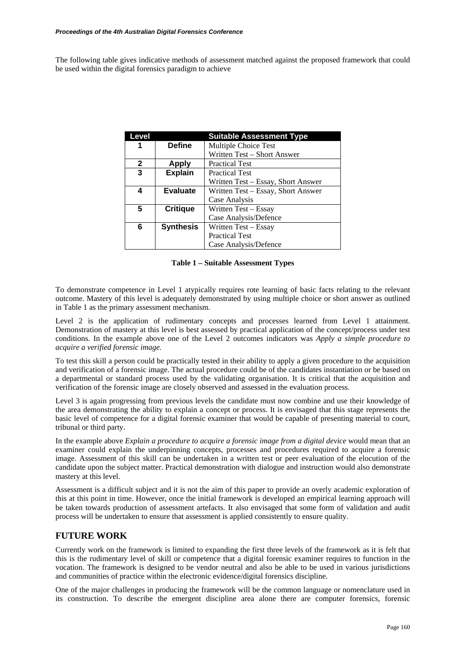The following table gives indicative methods of assessment matched against the proposed framework that could be used within the digital forensics paradigm to achieve

| Level        |                  | <b>Suitable Assessment Type</b>    |
|--------------|------------------|------------------------------------|
| 1            | <b>Define</b>    | Multiple Choice Test               |
|              |                  | Written Test – Short Answer        |
| $\mathbf{2}$ | <b>Apply</b>     | <b>Practical Test</b>              |
| 3            | <b>Explain</b>   | <b>Practical Test</b>              |
|              |                  | Written Test – Essay, Short Answer |
| 4            | <b>Evaluate</b>  | Written Test – Essay, Short Answer |
|              |                  | Case Analysis                      |
| 5            | <b>Critique</b>  | Written Test – Essay               |
|              |                  | Case Analysis/Defence              |
| 6            | <b>Synthesis</b> | Written Test – Essay               |
|              |                  | <b>Practical Test</b>              |
|              |                  | Case Analysis/Defence              |

**Table 1 – Suitable Assessment Types** 

To demonstrate competence in Level 1 atypically requires rote learning of basic facts relating to the relevant outcome. Mastery of this level is adequately demonstrated by using multiple choice or short answer as outlined in Table 1 as the primary assessment mechanism.

Level 2 is the application of rudimentary concepts and processes learned from Level 1 attainment. Demonstration of mastery at this level is best assessed by practical application of the concept/process under test conditions. In the example above one of the Level 2 outcomes indicators was *Apply a simple procedure to acquire a verified forensic image.* 

To test this skill a person could be practically tested in their ability to apply a given procedure to the acquisition and verification of a forensic image. The actual procedure could be of the candidates instantiation or be based on a departmental or standard process used by the validating organisation. It is critical that the acquisition and verification of the forensic image are closely observed and assessed in the evaluation process.

Level 3 is again progressing from previous levels the candidate must now combine and use their knowledge of the area demonstrating the ability to explain a concept or process. It is envisaged that this stage represents the basic level of competence for a digital forensic examiner that would be capable of presenting material to court, tribunal or third party.

In the example above *Explain a procedure to acquire a forensic image from a digital device* would mean that an examiner could explain the underpinning concepts, processes and procedures required to acquire a forensic image. Assessment of this skill can be undertaken in a written test or peer evaluation of the elocution of the candidate upon the subject matter. Practical demonstration with dialogue and instruction would also demonstrate mastery at this level.

Assessment is a difficult subject and it is not the aim of this paper to provide an overly academic exploration of this at this point in time. However, once the initial framework is developed an empirical learning approach will be taken towards production of assessment artefacts. It also envisaged that some form of validation and audit process will be undertaken to ensure that assessment is applied consistently to ensure quality.

# **FUTURE WORK**

Currently work on the framework is limited to expanding the first three levels of the framework as it is felt that this is the rudimentary level of skill or competence that a digital forensic examiner requires to function in the vocation. The framework is designed to be vendor neutral and also be able to be used in various jurisdictions and communities of practice within the electronic evidence/digital forensics discipline.

One of the major challenges in producing the framework will be the common language or nomenclature used in its construction. To describe the emergent discipline area alone there are computer forensics, forensic